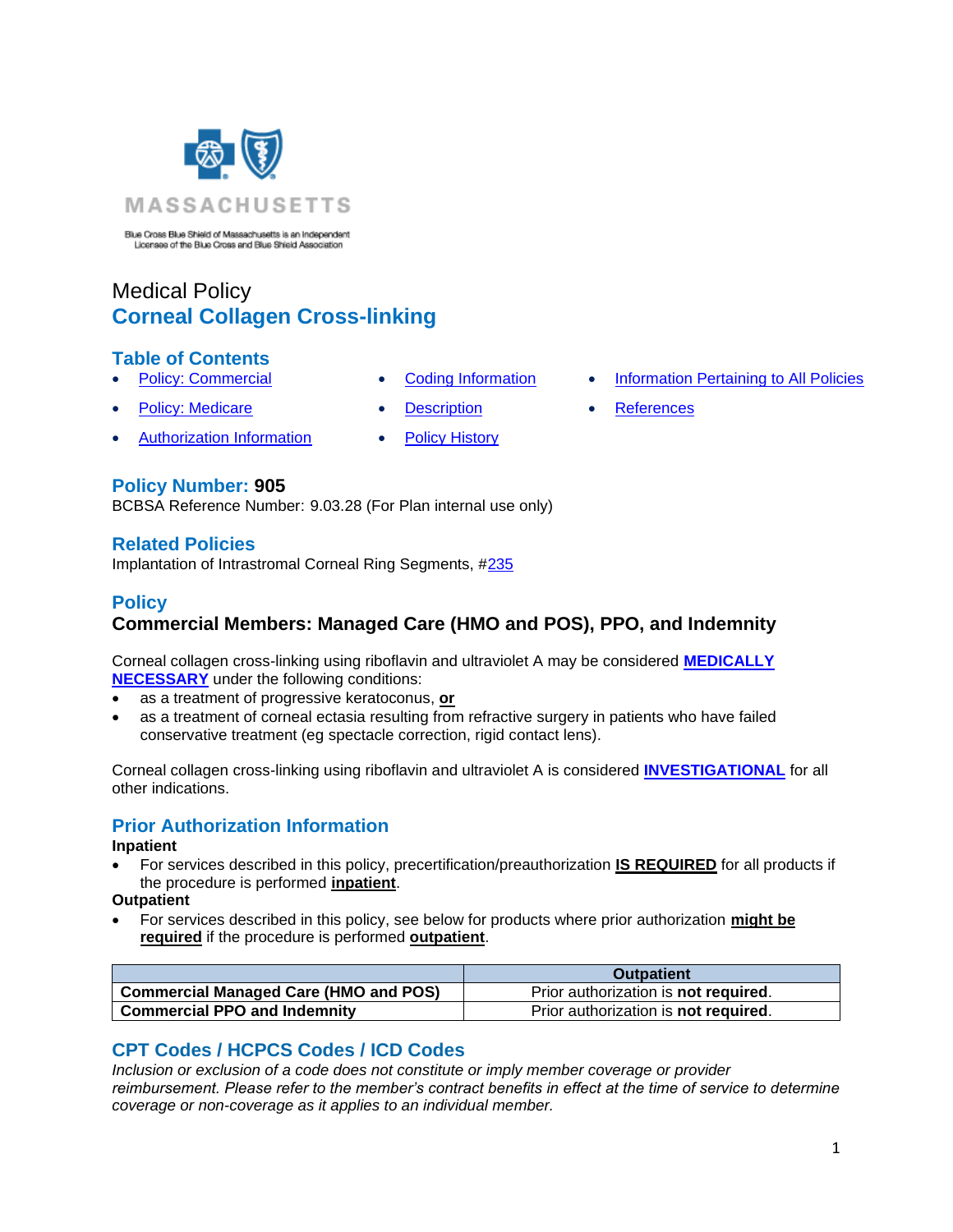

Blue Cross Blue Shield of Massachusetts is an Independent<br>Licensee of the Blue Cross and Blue Shield Association

# Medical Policy **Corneal Collagen Cross-linking**

## **Table of Contents**

- 
- **[Policy: Medicare](#page-0-0) [Description](#page-1-0) [References](#page-3-1)** 
	- [Authorization Information](#page-0-2) [Policy History](#page-3-2)
- 
- **[Policy: Commercial](#page-0-0) [Coding Information](#page-0-1) [Information Pertaining to All Policies](#page-3-0)** 
	-

**Policy Number: 905**

BCBSA Reference Number: 9.03.28 (For Plan internal use only)

#### **Related Policies**

<span id="page-0-0"></span>Implantation of Intrastromal Corneal Ring Segments, [#235](http://www.bluecrossma.org/medical-policies/sites/g/files/csphws2091/files/acquiadam-assets/235%20Implantation%20of%20Intrastromal%20Corneal%20Ring%20Segments%20prn.pdf#page=1)

# **Policy**

# **Commercial Members: Managed Care (HMO and POS), PPO, and Indemnity**

Corneal collagen cross-linking using riboflavin and ultraviolet A may be considered **[MEDICALLY](https://www.bluecrossma.org/medical-policies/sites/g/files/csphws2091/files/acquiadam-assets/Definition%20of%20Med%20Nec%20Inv%20Not%20Med%20Nec%20prn.pdf#page=1)  [NECESSARY](https://www.bluecrossma.org/medical-policies/sites/g/files/csphws2091/files/acquiadam-assets/Definition%20of%20Med%20Nec%20Inv%20Not%20Med%20Nec%20prn.pdf#page=1)** under the following conditions:

- as a treatment of progressive keratoconus, **or**
- as a treatment of corneal ectasia resulting from refractive surgery in patients who have failed conservative treatment (eg spectacle correction, rigid contact lens).

Corneal collagen cross-linking using riboflavin and ultraviolet A is considered **[INVESTIGATIONAL](https://www.bluecrossma.org/medical-policies/sites/g/files/csphws2091/files/acquiadam-assets/Definition%20of%20Med%20Nec%20Inv%20Not%20Med%20Nec%20prn.pdf#page=1)** for all other indications.

# <span id="page-0-2"></span>**Prior Authorization Information**

#### **Inpatient**

- For services described in this policy, precertification/preauthorization **IS REQUIRED** for all products if the procedure is performed **inpatient**.
- **Outpatient**
- For services described in this policy, see below for products where prior authorization **might be required** if the procedure is performed **outpatient**.

|                                                    | <b>Outpatient</b>                           |
|----------------------------------------------------|---------------------------------------------|
| <sup>1</sup> Commercial Managed Care (HMO and POS) | Prior authorization is <b>not required.</b> |
| <b>Commercial PPO and Indemnity</b>                | Prior authorization is <b>not required.</b> |

# <span id="page-0-1"></span>**CPT Codes / HCPCS Codes / ICD Codes**

*Inclusion or exclusion of a code does not constitute or imply member coverage or provider reimbursement. Please refer to the member's contract benefits in effect at the time of service to determine coverage or non-coverage as it applies to an individual member.*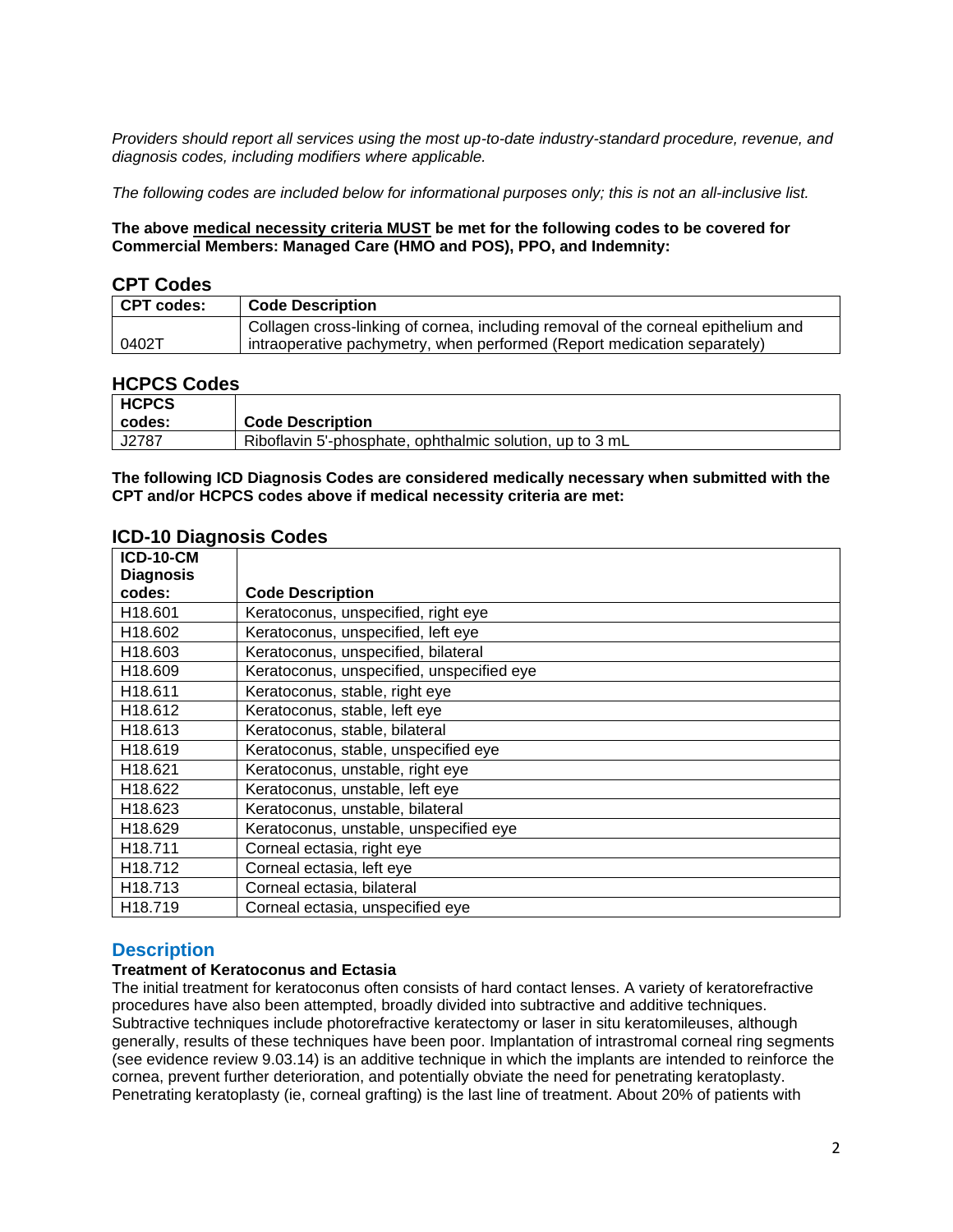*Providers should report all services using the most up-to-date industry-standard procedure, revenue, and diagnosis codes, including modifiers where applicable.*

*The following codes are included below for informational purposes only; this is not an all-inclusive list.*

**The above medical necessity criteria MUST be met for the following codes to be covered for Commercial Members: Managed Care (HMO and POS), PPO, and Indemnity:**

#### **CPT Codes**

| <b>CPT codes:</b> | <b>Code Description</b>                                                           |
|-------------------|-----------------------------------------------------------------------------------|
|                   | Collagen cross-linking of cornea, including removal of the corneal epithelium and |
| 0402T             | intraoperative pachymetry, when performed (Report medication separately)          |

#### **HCPCS Codes**

| <b>HCPCS</b> |                                                          |
|--------------|----------------------------------------------------------|
| codes:       | <b>Code Description</b>                                  |
| J2787        | Riboflavin 5'-phosphate, ophthalmic solution, up to 3 mL |

**The following ICD Diagnosis Codes are considered medically necessary when submitted with the CPT and/or HCPCS codes above if medical necessity criteria are met:**

#### **ICD-10 Diagnosis Codes**

| <b>Code Description</b>                   |
|-------------------------------------------|
| Keratoconus, unspecified, right eye       |
| Keratoconus, unspecified, left eye        |
| Keratoconus, unspecified, bilateral       |
| Keratoconus, unspecified, unspecified eye |
| Keratoconus, stable, right eye            |
| Keratoconus, stable, left eye             |
| Keratoconus, stable, bilateral            |
| Keratoconus, stable, unspecified eye      |
| Keratoconus, unstable, right eye          |
| Keratoconus, unstable, left eye           |
| Keratoconus, unstable, bilateral          |
| Keratoconus, unstable, unspecified eye    |
| Corneal ectasia, right eye                |
| Corneal ectasia, left eye                 |
| Corneal ectasia, bilateral                |
| Corneal ectasia, unspecified eye          |
|                                           |

## <span id="page-1-0"></span>**Description**

#### **Treatment of Keratoconus and Ectasia**

The initial treatment for keratoconus often consists of hard contact lenses. A variety of keratorefractive procedures have also been attempted, broadly divided into subtractive and additive techniques. Subtractive techniques include photorefractive keratectomy or laser in situ keratomileuses, although generally, results of these techniques have been poor. Implantation of intrastromal corneal ring segments (see evidence review 9.03.14) is an additive technique in which the implants are intended to reinforce the cornea, prevent further deterioration, and potentially obviate the need for penetrating keratoplasty. Penetrating keratoplasty (ie, corneal grafting) is the last line of treatment. About 20% of patients with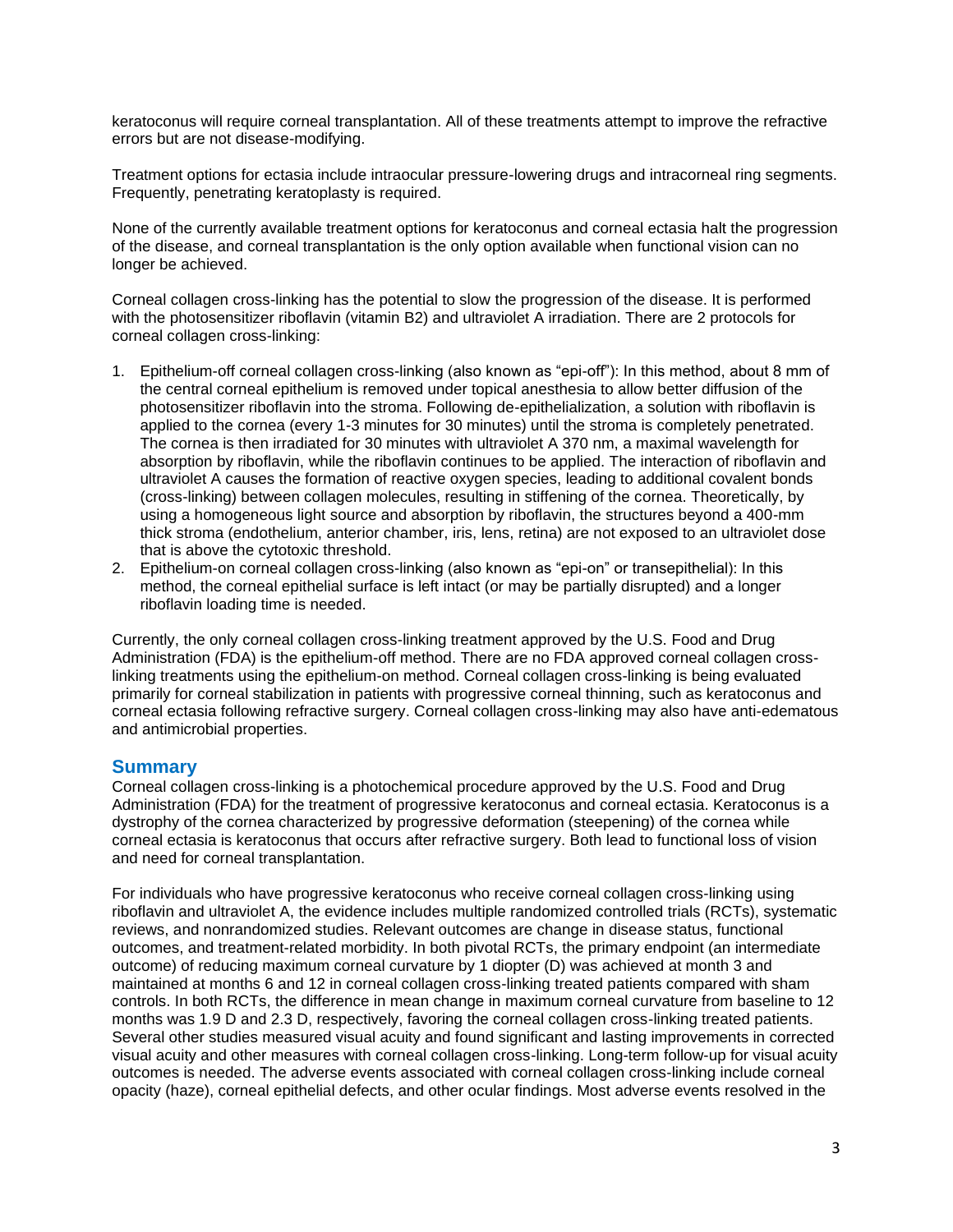keratoconus will require corneal transplantation. All of these treatments attempt to improve the refractive errors but are not disease-modifying.

Treatment options for ectasia include intraocular pressure-lowering drugs and intracorneal ring segments. Frequently, penetrating keratoplasty is required.

None of the currently available treatment options for keratoconus and corneal ectasia halt the progression of the disease, and corneal transplantation is the only option available when functional vision can no longer be achieved.

Corneal collagen cross-linking has the potential to slow the progression of the disease. It is performed with the photosensitizer riboflavin (vitamin B2) and ultraviolet A irradiation. There are 2 protocols for corneal collagen cross-linking:

- 1. Epithelium-off corneal collagen cross-linking (also known as "epi-off"): In this method, about 8 mm of the central corneal epithelium is removed under topical anesthesia to allow better diffusion of the photosensitizer riboflavin into the stroma. Following de-epithelialization, a solution with riboflavin is applied to the cornea (every 1-3 minutes for 30 minutes) until the stroma is completely penetrated. The cornea is then irradiated for 30 minutes with ultraviolet A 370 nm, a maximal wavelength for absorption by riboflavin, while the riboflavin continues to be applied. The interaction of riboflavin and ultraviolet A causes the formation of reactive oxygen species, leading to additional covalent bonds (cross-linking) between collagen molecules, resulting in stiffening of the cornea. Theoretically, by using a homogeneous light source and absorption by riboflavin, the structures beyond a 400-mm thick stroma (endothelium, anterior chamber, iris, lens, retina) are not exposed to an ultraviolet dose that is above the cytotoxic threshold.
- 2. Epithelium-on corneal collagen cross-linking (also known as "epi-on" or transepithelial): In this method, the corneal epithelial surface is left intact (or may be partially disrupted) and a longer riboflavin loading time is needed.

Currently, the only corneal collagen cross-linking treatment approved by the U.S. Food and Drug Administration (FDA) is the epithelium-off method. There are no FDA approved corneal collagen crosslinking treatments using the epithelium-on method. Corneal collagen cross-linking is being evaluated primarily for corneal stabilization in patients with progressive corneal thinning, such as keratoconus and corneal ectasia following refractive surgery. Corneal collagen cross-linking may also have anti-edematous and antimicrobial properties.

#### **Summary**

Corneal collagen cross-linking is a photochemical procedure approved by the U.S. Food and Drug Administration (FDA) for the treatment of progressive keratoconus and corneal ectasia. Keratoconus is a dystrophy of the cornea characterized by progressive deformation (steepening) of the cornea while corneal ectasia is keratoconus that occurs after refractive surgery. Both lead to functional loss of vision and need for corneal transplantation.

For individuals who have progressive keratoconus who receive corneal collagen cross-linking using riboflavin and ultraviolet A, the evidence includes multiple randomized controlled trials (RCTs), systematic reviews, and nonrandomized studies. Relevant outcomes are change in disease status, functional outcomes, and treatment-related morbidity. In both pivotal RCTs, the primary endpoint (an intermediate outcome) of reducing maximum corneal curvature by 1 diopter (D) was achieved at month 3 and maintained at months 6 and 12 in corneal collagen cross-linking treated patients compared with sham controls. In both RCTs, the difference in mean change in maximum corneal curvature from baseline to 12 months was 1.9 D and 2.3 D, respectively, favoring the corneal collagen cross-linking treated patients. Several other studies measured visual acuity and found significant and lasting improvements in corrected visual acuity and other measures with corneal collagen cross-linking. Long-term follow-up for visual acuity outcomes is needed. The adverse events associated with corneal collagen cross-linking include corneal opacity (haze), corneal epithelial defects, and other ocular findings. Most adverse events resolved in the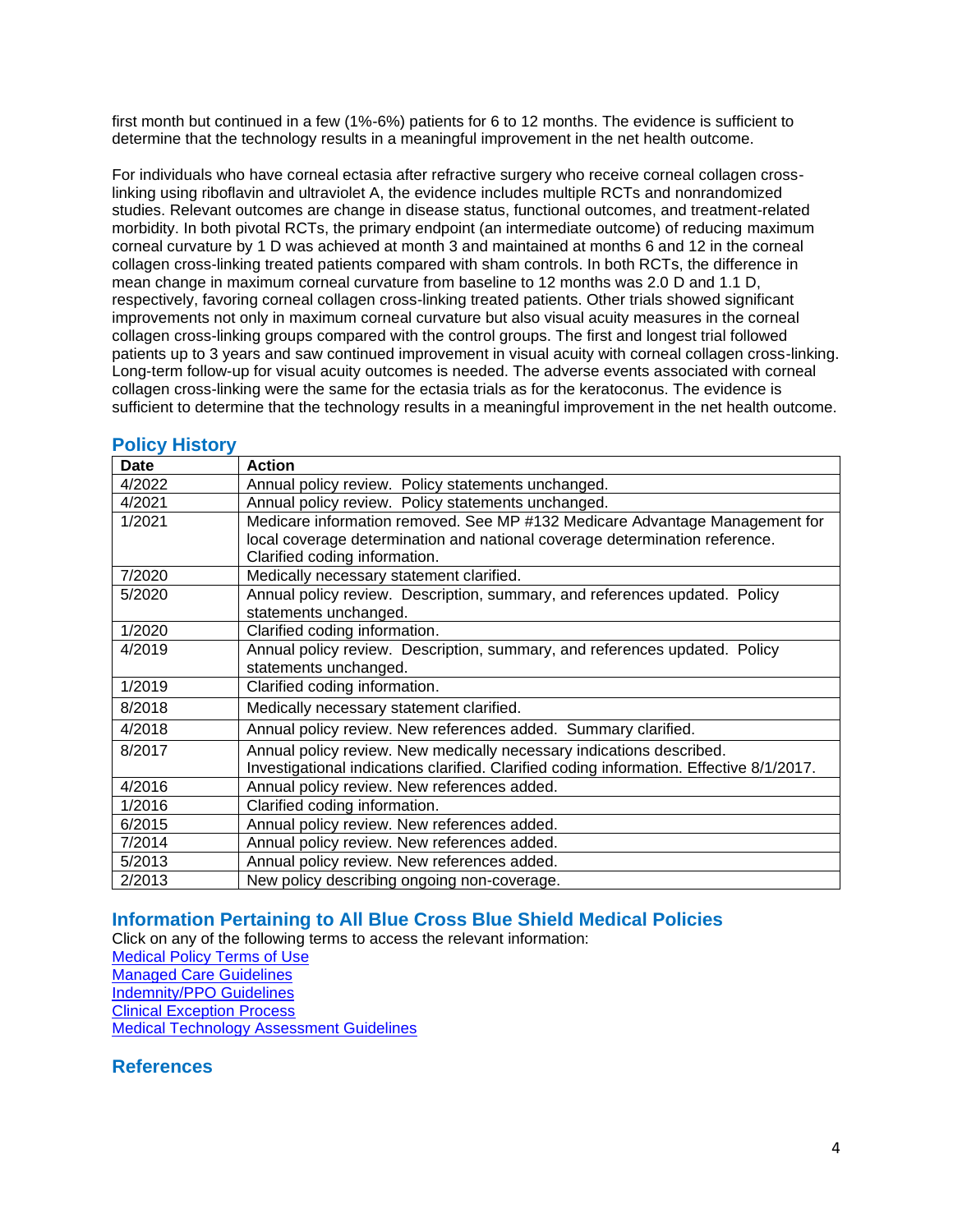first month but continued in a few (1%-6%) patients for 6 to 12 months. The evidence is sufficient to determine that the technology results in a meaningful improvement in the net health outcome.

For individuals who have corneal ectasia after refractive surgery who receive corneal collagen crosslinking using riboflavin and ultraviolet A, the evidence includes multiple RCTs and nonrandomized studies. Relevant outcomes are change in disease status, functional outcomes, and treatment-related morbidity. In both pivotal RCTs, the primary endpoint (an intermediate outcome) of reducing maximum corneal curvature by 1 D was achieved at month 3 and maintained at months 6 and 12 in the corneal collagen cross-linking treated patients compared with sham controls. In both RCTs, the difference in mean change in maximum corneal curvature from baseline to 12 months was 2.0 D and 1.1 D, respectively, favoring corneal collagen cross-linking treated patients. Other trials showed significant improvements not only in maximum corneal curvature but also visual acuity measures in the corneal collagen cross-linking groups compared with the control groups. The first and longest trial followed patients up to 3 years and saw continued improvement in visual acuity with corneal collagen cross-linking. Long-term follow-up for visual acuity outcomes is needed. The adverse events associated with corneal collagen cross-linking were the same for the ectasia trials as for the keratoconus. The evidence is sufficient to determine that the technology results in a meaningful improvement in the net health outcome.

#### <span id="page-3-2"></span>**Policy History**

| <b>Date</b> | <b>Action</b>                                                                            |
|-------------|------------------------------------------------------------------------------------------|
| 4/2022      | Annual policy review. Policy statements unchanged.                                       |
| 4/2021      | Annual policy review. Policy statements unchanged.                                       |
| 1/2021      | Medicare information removed. See MP #132 Medicare Advantage Management for              |
|             | local coverage determination and national coverage determination reference.              |
|             | Clarified coding information.                                                            |
| 7/2020      | Medically necessary statement clarified.                                                 |
| 5/2020      | Annual policy review. Description, summary, and references updated. Policy               |
|             | statements unchanged.                                                                    |
| 1/2020      | Clarified coding information.                                                            |
| 4/2019      | Annual policy review. Description, summary, and references updated. Policy               |
|             | statements unchanged.                                                                    |
| 1/2019      | Clarified coding information.                                                            |
| 8/2018      | Medically necessary statement clarified.                                                 |
| 4/2018      | Annual policy review. New references added. Summary clarified.                           |
| 8/2017      | Annual policy review. New medically necessary indications described.                     |
|             | Investigational indications clarified. Clarified coding information. Effective 8/1/2017. |
| 4/2016      | Annual policy review. New references added.                                              |
| 1/2016      | Clarified coding information.                                                            |
| 6/2015      | Annual policy review. New references added.                                              |
| 7/2014      | Annual policy review. New references added.                                              |
| 5/2013      | Annual policy review. New references added.                                              |
| 2/2013      | New policy describing ongoing non-coverage.                                              |

# <span id="page-3-0"></span>**[Information Pertaining to All Blue Cross Blue Shield Medical Policies](#page-3-0)**

Click on any of the following terms to access the relevant information: [Medical Policy Terms of Use](http://www.bluecrossma.org/medical-policies/sites/g/files/csphws2091/files/acquiadam-assets/Medical_Policy_Terms_of_Use_prn.pdf) [Managed Care Guidelines](http://www.bluecrossma.org/medical-policies/sites/g/files/csphws2091/files/acquiadam-assets/Managed_Care_Guidelines_prn.pdf) [Indemnity/PPO Guidelines](http://www.bluecrossma.org/medical-policies/sites/g/files/csphws2091/files/acquiadam-assets/Indemnity_and_PPO_Guidelines_prn.pdf) [Clinical Exception Process](http://www.bluecrossma.org/medical-policies/sites/g/files/csphws2091/files/acquiadam-assets/Clinical_Exception_Process_prn.pdf) [Medical Technology Assessment Guidelines](http://www.bluecrossma.org/medical-policies/sites/g/files/csphws2091/files/acquiadam-assets/Medical_Technology_Assessment_Guidelines_prn.pdf)

# <span id="page-3-1"></span>**References**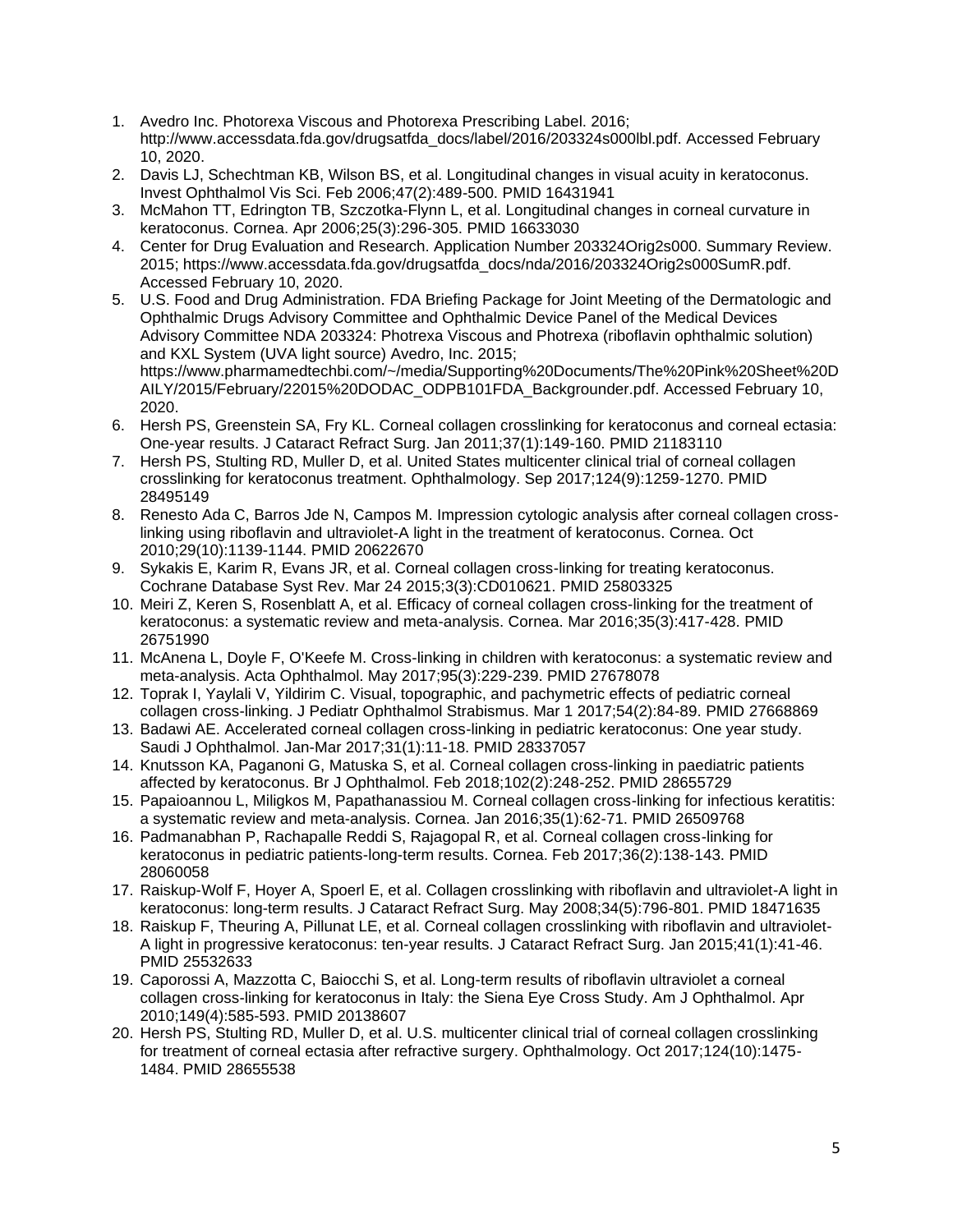- 1. Avedro Inc. Photorexa Viscous and Photorexa Prescribing Label. 2016; http://www.accessdata.fda.gov/drugsatfda\_docs/label/2016/203324s000lbl.pdf. Accessed February 10, 2020.
- 2. Davis LJ, Schechtman KB, Wilson BS, et al. Longitudinal changes in visual acuity in keratoconus. Invest Ophthalmol Vis Sci. Feb 2006;47(2):489-500. PMID 16431941
- 3. McMahon TT, Edrington TB, Szczotka-Flynn L, et al. Longitudinal changes in corneal curvature in keratoconus. Cornea. Apr 2006;25(3):296-305. PMID 16633030
- 4. Center for Drug Evaluation and Research. Application Number 203324Orig2s000. Summary Review. 2015; https://www.accessdata.fda.gov/drugsatfda\_docs/nda/2016/203324Orig2s000SumR.pdf. Accessed February 10, 2020.
- 5. U.S. Food and Drug Administration. FDA Briefing Package for Joint Meeting of the Dermatologic and Ophthalmic Drugs Advisory Committee and Ophthalmic Device Panel of the Medical Devices Advisory Committee NDA 203324: Photrexa Viscous and Photrexa (riboflavin ophthalmic solution) and KXL System (UVA light source) Avedro, Inc. 2015; https://www.pharmamedtechbi.com/~/media/Supporting%20Documents/The%20Pink%20Sheet%20D AILY/2015/February/22015%20DODAC\_ODPB101FDA\_Backgrounder.pdf. Accessed February 10, 2020.
- 6. Hersh PS, Greenstein SA, Fry KL. Corneal collagen crosslinking for keratoconus and corneal ectasia: One-year results. J Cataract Refract Surg. Jan 2011;37(1):149-160. PMID 21183110
- 7. Hersh PS, Stulting RD, Muller D, et al. United States multicenter clinical trial of corneal collagen crosslinking for keratoconus treatment. Ophthalmology. Sep 2017;124(9):1259-1270. PMID 28495149
- 8. Renesto Ada C, Barros Jde N, Campos M. Impression cytologic analysis after corneal collagen crosslinking using riboflavin and ultraviolet-A light in the treatment of keratoconus. Cornea. Oct 2010;29(10):1139-1144. PMID 20622670
- 9. Sykakis E, Karim R, Evans JR, et al. Corneal collagen cross-linking for treating keratoconus. Cochrane Database Syst Rev. Mar 24 2015;3(3):CD010621. PMID 25803325
- 10. Meiri Z, Keren S, Rosenblatt A, et al. Efficacy of corneal collagen cross-linking for the treatment of keratoconus: a systematic review and meta-analysis. Cornea. Mar 2016;35(3):417-428. PMID 26751990
- 11. McAnena L, Doyle F, O'Keefe M. Cross-linking in children with keratoconus: a systematic review and meta-analysis. Acta Ophthalmol. May 2017;95(3):229-239. PMID 27678078
- 12. Toprak I, Yaylali V, Yildirim C. Visual, topographic, and pachymetric effects of pediatric corneal collagen cross-linking. J Pediatr Ophthalmol Strabismus. Mar 1 2017;54(2):84-89. PMID 27668869
- 13. Badawi AE. Accelerated corneal collagen cross-linking in pediatric keratoconus: One year study. Saudi J Ophthalmol. Jan-Mar 2017;31(1):11-18. PMID 28337057
- 14. Knutsson KA, Paganoni G, Matuska S, et al. Corneal collagen cross-linking in paediatric patients affected by keratoconus. Br J Ophthalmol. Feb 2018;102(2):248-252. PMID 28655729
- 15. Papaioannou L, Miligkos M, Papathanassiou M. Corneal collagen cross-linking for infectious keratitis: a systematic review and meta-analysis. Cornea. Jan 2016;35(1):62-71. PMID 26509768
- 16. Padmanabhan P, Rachapalle Reddi S, Rajagopal R, et al. Corneal collagen cross-linking for keratoconus in pediatric patients-long-term results. Cornea. Feb 2017;36(2):138-143. PMID 28060058
- 17. Raiskup-Wolf F, Hoyer A, Spoerl E, et al. Collagen crosslinking with riboflavin and ultraviolet-A light in keratoconus: long-term results. J Cataract Refract Surg. May 2008;34(5):796-801. PMID 18471635
- 18. Raiskup F, Theuring A, Pillunat LE, et al. Corneal collagen crosslinking with riboflavin and ultraviolet-A light in progressive keratoconus: ten-year results. J Cataract Refract Surg. Jan 2015;41(1):41-46. PMID 25532633
- 19. Caporossi A, Mazzotta C, Baiocchi S, et al. Long-term results of riboflavin ultraviolet a corneal collagen cross-linking for keratoconus in Italy: the Siena Eye Cross Study. Am J Ophthalmol. Apr 2010;149(4):585-593. PMID 20138607
- 20. Hersh PS, Stulting RD, Muller D, et al. U.S. multicenter clinical trial of corneal collagen crosslinking for treatment of corneal ectasia after refractive surgery. Ophthalmology. Oct 2017;124(10):1475- 1484. PMID 28655538